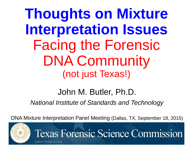**Thoughts on Mixture Interpretation Issues**  Facing the Forensic DNA Community (not just Texas!)

# John M. Butler, Ph.D.

*National Institute of Standards and Technology*

DNA Mixture Interpretation Panel Meeting (Dallas, TX, September 18, 2015)

**Texas Forensic Science Commission** 



Justice Through Science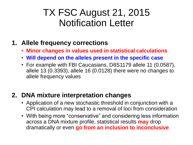## TX FSC August 21, 2015 Notification Letter

#### **1. Allele frequency corrections**

- **Minor changes in values used in statistical calculations**
- **Will depend on the alleles present in the specific case**
- For example with FBI Caucasians, D8S1179 allele 11 (0.0587), allele 13 (0.3393), allele 16 (0.0128) there were no changes to allele frequency values

#### **2. DNA mixture interpretation changes**

- Application of a new stochastic threshold in conjunction with a CPI calculation may lead to a removal of loci from consideration
- With being more "conservative" and considering less information across a DNA mixture profile, statistical results **may** drop dramatically or even **go from an inclusion to inconclusive**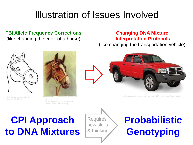# Illustration of Issues Involved

#### **FBI Allele Frequency Corrections**

(like changing the color of a horse)

#### **Changing DNA Mixture Interpretation Protocols**

(like changing the transportation vehicle)







tint.com/wp-content/uploads/2011/09/truck-fender-flares-dodge.jpg

# **CPI Approach to DNA Mixtures**

**Requires** new skills & thinking

# **Probabilistic Genotyping**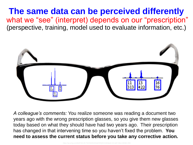**The same data can be perceived differently** what we "see" (interpret) depends on our "prescription" (perspective, training, model used to evaluate information, etc.)



*A colleague's comments:* You realize someone was reading a document two years ago with the wrong prescription glasses, so you give them new glasses today based on what they should have had two years ago. Their prescription has changed in that intervening time so you haven't fixed the problem. **You need to assess the current status before you take any corrective action.**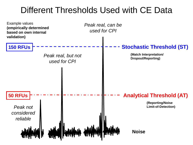### Different Thresholds Used with CE Data

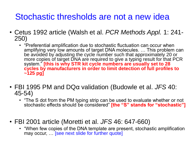### Stochastic thresholds are not a new idea

- Cetus 1992 article (Walsh et al. *PCR Methods Appl.* 1: 241- 250)
	- "Preferential amplification due to stochastic fluctuation can occur when amplifying very low amounts of target DNA molecules. … This problem can be avoided by adjusting the cycle number such that approximately 20 or more copies of target DNA are required to give a typing result for that PCR system." **[this is why STR kit cycle numbers are usually set to 28 cycles by manufacturers in order to limit detection of full profiles to ~125 pg]**
- FBI 1995 PM and DQα validation (Budowle et al. *JFS* 40: 45-54)
	- "The S dot from the PM typing strip can be used to evaluate whether or not stochastic effects should be considered" **[the "S" stands for "stochastic"]**
- FBI 2001 article (Moretti et al. *JFS* 46: 647-660)
	- "When few copies of the DNA template are present, stochastic amplification may occur, … [see next slide for further quote]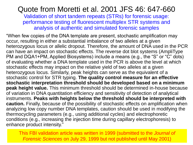### Quote from Moretti et al. 2001 JFS 46: 647-660

Validation of short tandem repeats (STRs) for forensic usage: performance testing of fluorescent multiplex STR systems and analysis of authentic and simulated forensic samples

"When few copies of the DNA template are present, stochastic amplification may occur, resulting in either a substantial imbalance of two alleles at a given heterozygous locus or allelic dropout. Therefore, the amount of DNA used in the PCR can have an impact on stochastic effects. The reverse dot blot systems (AmpliType PM and DQA1+PM, Applied Biosystems) include a means (e.g., the "S" or "C" dots) of evaluating whether a DNA template used in the PCR is above the level at which stochastic effects may impact on the relative yield of two alleles at a given heterozygous locus. Similarly, peak heights can serve as the equivalent of a stochastic control for STR typing. **The quality control measure for an effective stochastic interpretation threshold should be developed based on a minimum peak height value.** This minimum threshold should be determined in-house because of variation in DNA quantitation efficiency and sensitivity of detection of analytical instruments. **Peaks with heights below the threshold should be interpreted with caution.** Finally, because of the possibility of stochastic effects on amplification when analyzing low copy number DNA templates, caution should be used in modifying the thermocycling parameters (e.g., using additional cycles) and electrophoretic conditions (e.g., increasing the injection time during capillary electrophoresis) to enhance product intensity."

This FBI validation article was written in 1999 (submitted to the *Journal of Forensic Sciences* on July 29, 1999 but not published until May 2001)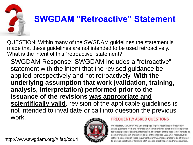

QUESTION: Within many of the SWGDAM guidelines the statement is made that these guidelines are not intended to be used retroactively. What is the intent of this "retroactive" statement?

SWGDAM Response: SWGDAM includes a "retroactive" statement with the intent that the revised guidance be applied prospectively and not retroactively. **With the underlying assumption that work (validation, training, analysis, interpretation) performed prior to the issuance of the revisions was appropriate and scientifically valid**, revision of the applicable guidelines is not intended to invalidate or call into question the previous work. **FREQUENTLY ASKED QUESTIONS** 

http://www.swgdam.org/#!faq/cqu4



On occasion, SWGDAM will use this page to post responses to frequently asked questions from the forensic DNA community or other interested parties for thepurposes of general information. The intent of this page is not for it to be acomprehensive list of answers to all of the inquires SWGDAM receives, but rather a collection of those inquires that SWGDAM recognizes to be of interest to a broad spectrum of forensic DNA science practitioners and/or consumers.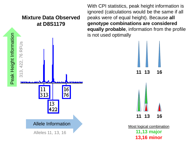

With CPI statistics, peak height information is ignored (calculations would be the same if all peaks were of equal height). Because **all genotype combinations are considered equally probable**, information from the profile is not used optimally



Most logical combination **11,13 major 13,16 minor**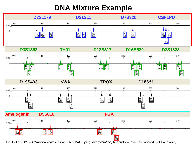### **DNA Mixture Example**



J.M. Butler (2015) *Advanced Topics in Forensic DNA Typing: Interpretation*, Appendix 4 (example worked by Mike Coble)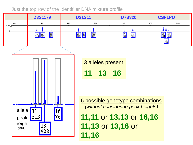#### Just the top row of the Identifiler DNA mixture profile

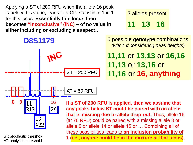Applying a ST of 200 RFU when the allele 16 peak is below this value, leads to a CPI statistic of 1 in 1 for this locus. **Essentially this locus then becomes "inconclusive" (INC) – of no value in either including or excluding a suspect…**

3 alleles present **11 13 16**



ST: stochastic threshold AT: analytical threshold

these possibilities leads to **an inclusion probability of**  *i.e., anyone could be in the mixture at that locus***)**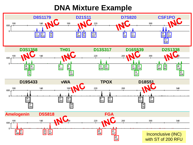### **DNA Mixture Example**

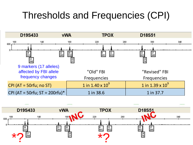# Thresholds and Frequencies (CPI)



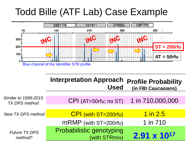# Todd Bille (ATF Lab) Case Example

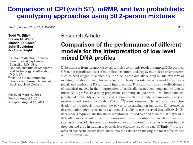#### **Comparison of CPI (with ST), mRMP, and two probabilistic genotyping approaches using 50 2-person mixtures**

Electrophoresis 2014, 35, 3125-3133

Todd W. Bille<sup>1</sup> Steven M. Weitz<sup>1</sup> Michael D. Coble<sup>2</sup> John Buckleton<sup>3</sup> Jo-Anne Bright<sup>3</sup>

- <sup>1</sup>Bureau of Alcohol, Tobacco, Firearms and Explosives. Beltsville, MD, USA <sup>2</sup>National Institute of Standards
- and Technology, Gaithersburg, MD, USA
- <sup>3</sup>Institute of Environmental Science and Research Limited. Auckland, New Zealand

Received March 6, 2014 Revised August 2, 2014 Accepted August 12, 2014

#### **Research Article**

#### **Comparison of the performance of different** models for the interpretation of low level mixed DNA profiles

DNA analyses from forensic casework samples commonly result in complex DNA profiles. Often, these profiles consist of multiple contributors and display multiple stochastic events such as peak height imbalance, allelic or locus drop-out, allelic drop-in, and excessive or indistinguishable stutter. This increased complexity has established a need for more sophisticated methods of DNA mixture interpretation. This study compares the effectiveness of statistical models in the interpretation of artificially created low template two person mixed DNA profiles at varying proportions and template quantities. Two binary models (combined probability of inclusion and random match probability), a semicontinuous (Lab retriever), and continuous model ( $STRmix^{TM}$ ) were compared. Generally, as the sophistication of the models increases, the power of discrimination increases. Differences in discrimination often correlate to each model's ability to use observed data effectively. Binary models require static thresholds resulting in unused data and outliers that may lead to difficult or incorrect interpretation. Semicontinuous and continuous models eliminate the stochastic threshold, however Lab Retriever does not account for stochastic events beyond drop-out and drop-in leading to possible less effective use of the data. STRmix<sup>™</sup> incorporates all stochastic events listed above into the calculation making the most effective use of the observed data

3125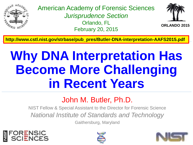

American Academy of Forensic Sciences *Jurisprudence Section* Orlando, FL February 20, 2015



**ORLANDO 2015**

**http://www.cstl.nist.gov/strbase/pub\_pres/Butler-DNA-interpretation-AAFS2015.pdf**

# **Why DNA Interpretation Has Become More Challenging in Recent Years**

### John M. Butler, Ph.D.

NIST Fellow & Special Assistant to the Director for Forensic Science *National Institute of Standards and Technology*

Gaithersburg, Maryland





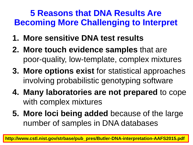### **5 Reasons that DNA Results Are Becoming More Challenging to Interpret**

- **1. More sensitive DNA test results**
- **2. More touch evidence samples** that are poor-quality, low-template, complex mixtures
- **3. More options exist** for statistical approaches involving probabilistic genotyping software
- **4. Many laboratories are not prepared** to cope with complex mixtures
- **5. More loci being added** because of the large number of samples in DNA databases

**http://www.cstl.nist.gov/strbase/pub\_pres/Butler-DNA-interpretation-AAFS2015.pdf**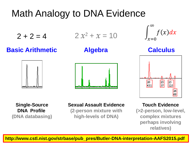# Math Analogy to DNA Evidence

$$
2+2=4
$$

$$
2x^2 + x = 10
$$

**Basic Arithmetic**

**Algebra**







**Calculus**



**Single-Source DNA Profile (DNA databasing)**

#### **Sexual Assault Evidence**

**(2-person mixture with high-levels of DNA)**

#### **Touch Evidence**

**(>2-person, low-level, complex mixtures perhaps involving relatives)**

**http://www.cstl.nist.gov/strbase/pub\_pres/Butler-DNA-interpretation-AAFS2015.pdf**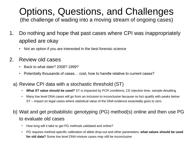# Options, Questions, and Challenges

(the challenge of wading into a moving stream of ongoing cases)

- 1. Do nothing and hope that past cases where CPI was inappropriately applied are okay
	- Not an option if you are interested in the best forensic science
- 2. Review old cases
	- Back to what date? 2008? 1999?
	- Potentially thousands of cases… cost, how to handle relative to current cases?
	- a) Review CPI data with a stochastic threshold (ST)
		- **What ST value should be used?** ST is impacted by PCR conditions, CE injection time, sample desalting
		- Many low level DNA cases will go from an inclusion to inconclusive because no loci qualify with peaks below ST – impact on legal cases where statistical value of the DNA evidence essentially goes to zero
	- b) Wait and get probabilistic genotyping (PG) method(s) online and then use PG to evaluate old cases
		- How long will it take to get PG methods validated and online?
		- PG requires method-specific calibration of allele drop-out and other parameters; **what values should be used for old data?** Some low level DNA mixture cases may still be inconclusive